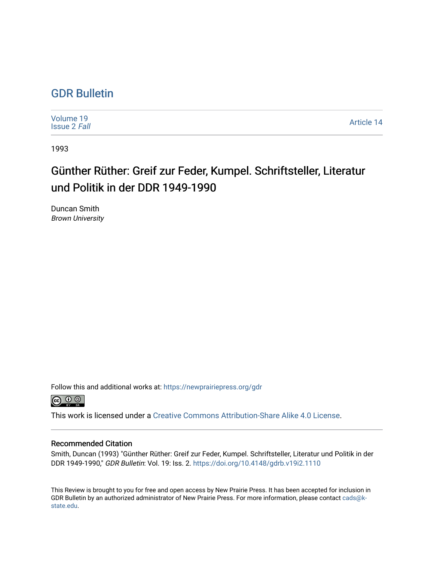## [GDR Bulletin](https://newprairiepress.org/gdr)

[Volume 19](https://newprairiepress.org/gdr/vol19) [Issue 2](https://newprairiepress.org/gdr/vol19/iss2) Fall [Article 14](https://newprairiepress.org/gdr/vol19/iss2/14) 

1993

## Günther Rüther: Greif zur Feder, Kumpel. Schriftsteller, Literatur und Politik in der DDR 1949-1990

Duncan Smith Brown University

Follow this and additional works at: [https://newprairiepress.org/gdr](https://newprairiepress.org/gdr?utm_source=newprairiepress.org%2Fgdr%2Fvol19%2Fiss2%2F14&utm_medium=PDF&utm_campaign=PDFCoverPages) 



This work is licensed under a [Creative Commons Attribution-Share Alike 4.0 License.](https://creativecommons.org/licenses/by-sa/4.0/)

## Recommended Citation

Smith, Duncan (1993) "Günther Rüther: Greif zur Feder, Kumpel. Schriftsteller, Literatur und Politik in der DDR 1949-1990," GDR Bulletin: Vol. 19: Iss. 2. <https://doi.org/10.4148/gdrb.v19i2.1110>

This Review is brought to you for free and open access by New Prairie Press. It has been accepted for inclusion in GDR Bulletin by an authorized administrator of New Prairie Press. For more information, please contact [cads@k](mailto:cads@k-state.edu)[state.edu](mailto:cads@k-state.edu).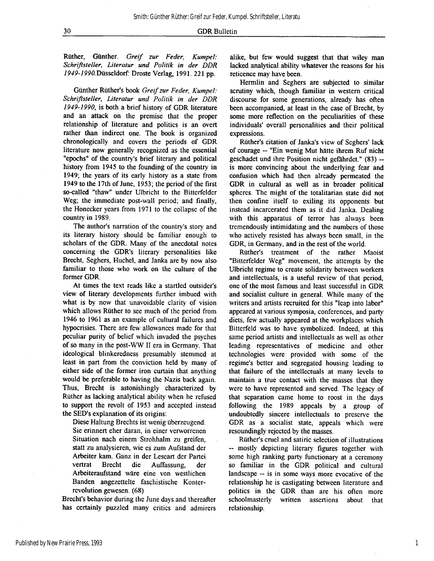**Rüther, Günther.** *Greif zur Feder, Kumpel: Schriftsteller, Literatur und Politik in der DDR 1949-1990.Düssddorf:* **Droste Verlag, 1991. 221 pp.** 

**Günther Rüther's book** *Greif zur Feder, Kumpel: Schriftsteller, Literatur und Politik in der DDR 1949-1990,* **is both a brief history of GDR literature and an attack on the premise that the proper relationship of literature and politics is an overt rather than indirect one. The book is organized chronologically and covers the periods of GDR literature now generally recognized as the essential "epochs" of the country's brief literary and political history from 1945 to the founding of the country in 1949; the years of its early history as a state from 1949 to the 17th of June, 1953; the period of the first so-called "thaw" under Ulbricht to the Bitterfelder Weg; the immediate post-wall period; and finally, the Honecker years from 1971 to the collapse of the country in 1989.** 

**The author's narration of the country's story and its literary history should be familiar enough to scholars of the GDR, Many of the anecdotal notes concerning the GDR's literary personalities like Brecht, Seghers, Hüchel, and Janka are by now also familiar to those who work on the culture of the former GDR.** 

**At times the text reads like a startled outsider's view of literary developments further imbued with what is by now that unavoidable clarity of vision which allows Rüther to see much of the period from 1946 to 1961 as an example of cultural failures and hypocrisies. There are few allowances made for that peculiar purity of belief which invaded the psyches of so many in the post-WW II era in Germany. That ideological blinkeredness presumably stemmed at least in part from the conviction held by many of either side of the former iron curtain that anything would be preferable to having the Nazis back again. Thus, Brecht is astonishingly characterized by Rüther as lacking analytical ability when he refused to support the revolt of 1953 and accepted instead the SED's explanation of its origins:** 

**Diese Haltung Brechts ist wenig überzeugend. Sie erinnert eher daran, in einer verworrenen Situation nach einem Strohhalm zu greifen, statt zu analysieren, wie es zum Aufstand der Arbeiter kam. Ganz in der Leseart der Partei vertrat Brecht die Auffassung, der Arbeiteraufstand wäre eine von westlichen Banden angezettelte faschistische Konterrevolution gewesen. (68)** 

**Brecht's behavior during the June days and thereafter has certainly puzzled many critics and admirers**  **alike, but few would suggest that that wiley man lacked analytical ability whatever the reasons for his reticence may have been.** 

**Hermlin and Seghers are subjected to similar scrutiny which, though familiar in western critical discourse for some generations, already has often been accompanied, at least in the case of Brecht, by some more reflection on the peculiarities of these individuals' overall personalities and their political expressions.** 

**Rüther's citation of Janka's view of Seghers' lack of courage — "Ein wenig Mut hätte ihrem Ruf nicht geschadet und ihre Position nicht gefährdet." (83) - is more convincing about the underlying fear and confusion which had then already permeated the GDR in cultural as well as in broader political spheres. The might of the totalitarian state did not then confine itself to exiling its opponents but instead incarcerated them as it did Janka. Dealing with this apparatus of terror has always been tremendously intimidating and the numbers of those who actively resisted has always been small, in the GDR, in Germany, and in the rest of the world.** 

**Rüther's treatment of the rather Maoist "Bitterfelder Weg" movement, the attempts by the Ulbricht regime to create solidarity between workers and intellectuals, is a useful review of that period, one of the most famous and least successful in GDR and socialist culture in general. While many of the writers and artists recruited for this "leap into labor" appeared at various symposia, conferences, and party diets, few actually appeared at the workplaces which Bitterfeld was to have symbolized. Indeed, at this same period artists and intellectuals as well as other leading representatives of medicine and other technologies were provided with some of the regime's better and segregated housing leading to that failure of the intellectuals at many levels to maintain a true contact with the masses that they were to have represented and served. The legacy of that separation came home to roost in the days following the 1989 appeals by a group of undoubtedly sincere intellectuals to preserve the GDR as a socialist state, appeals which were resoundingly rejected by the masses.** 

**Rüther's cruel and satiric selection of illustrations - mostly depicting literary figures together with some high ranking party functionary at a ceremony so familiar in the GDR political and cultural landscape — is in some ways more evocative of the relationship he is castigating between literature and politics in the GDR than are his often more schoolmasterly written assertions about that relationship.** 

1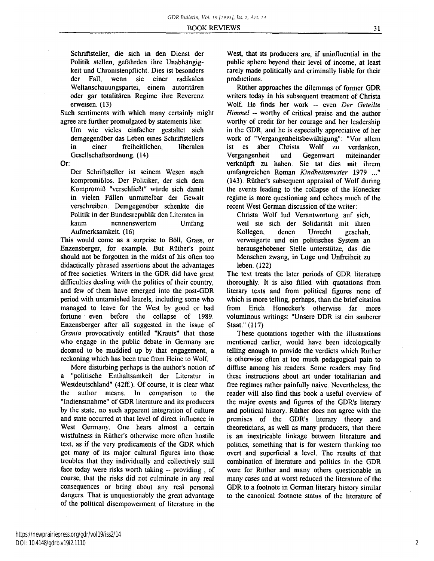**Schriftsteller, die sich in den Dienst der Politik stellen, gefährden ihre Unabhängigkeit und Chronistenpflicht. Dies ist besonders der Fall, wenn sie einer radikalen Weltanschauungspartei, einem autoritären oder gar totalitären Regime ihre Reverenz** 

**erweisen. (13) Such sentiments with which many certainly might** 

**agree are further promulgated by statements like: Um wie vieles einfacher gestaltet sich demgegenüber das Leben eines Schriftstellers in einer freiheitlichen, liberalen Gesellschaftsordnung. (14)** 

**Or:** 

**Der Schriftsteller ist seinem Wesen nach kompromißlos. Der Politiker, der sich dem Kompromiß "verschließt" würde sich damit in vielen Fällen unmittelbar der Gewalt verschreiben. Demgegenüber schenkte die Politik in der Bundesrepublik den Literaten in kaum nennenswertem Umfang Aufmerksamkeit. (16)** 

**This would come as a surprise to Boll, Grass, or Enzensberger, for example. But Rüther's point should not be forgotten in the midst of his often too didactically phrased assertions about the advantages of free societies. Writers in the GDR did have great difficulties dealing with the politics of their country, and few of them have emerged into the post-GDR period with untarnished laurels, including some who managed to leave for the West by good or bad fortune even before the collapse of 1989. Enzensberger after all suggested in the issue of**  *Granta* **provocatively entitled "Krauts" that those who engage in the public debate in Germany are doomed to be muddied up by that engagement, a reckoning which has been true from Heine to Wolf.** 

**More disturbing perhaps is the author's notion of a "politische Enthaltsamkeit der Literatur in Westdeutschland" (42ff). Of course, it is clear what the author means. In comparison to the "Indienstnahme" of GDR literature and its producers by the state, no such apparent integration of culture and state occurred at that level of direct influence in West Germany. One hears almost a certain wistfulness in Rüther's otherwise more often hostile text, as if the very predicaments of the GDR which got many of its major cultural figures into those troubles that they individually and collectively still face today were risks worth taking -- providing, of course, that the risks did not culminate in any real consequences or bring about any real personal dangers. That is unquestionably the great advantage of the political disempowerment of literature in the** 

**West, that its producers are, if uninfluential in the public sphere beyond their level of income, at least rarely made politically and criminally liable for their productions.** 

**Rüther approaches the dilemmas of former GDR writers today in his subsequent treatment of Christa Wolf. He finds her work - even** *Der Geteilte Himmel -* **worthy of critical praise and the author worthy of credit for her courage and her leadership in the GDR, and he is especially appreciative of her work of "Vergangenheitsbewältigung": "Vor allem ist es aber Christa Wolf zu verdanken, Vergangenheit und Gegenwart miteinander verknüpft zu haben. Sie tat dies mit ihrem umfangreichen Roman** *Kindheitsmuster* **1979 ..." (143). Rüther's subsequent appraisal of Wolf during the events leading to the collapse of the Honecker regime is more questioning and echoes much of the recent West German discussion of the writer:** 

**Christa Wolf lud Verantwortung auf sich, weil sie sich der Solidarität mit ihren Kollegen, denen Unrecht geschah, verweigerte und ein politisches System an herausgehobener Stelle unterstütze, das die Menschen zwang, in Lüge und Unfreiheit zu leben. (122)** 

**The text treats the later periods of GDR literature thoroughly. It is also filled with quotations from literary texts and from political figures none of which is more telling, perhaps, than the brief citation from Erich Honecker's otherwise far more voluminous writings: "Unsere DDR ist ein sauberer Staat." (117)** 

**These quotations together with the illustrations mentioned earlier, would have been ideologically telling enough to provide the verdicts which Rüther is otherwise often at too much pedagogical pain to diffuse among his readers. Some readers may find these instructions about art under totalitarian and free regimes rather painfully naive. Nevertheless, the reader will also find this book a useful overview of the major events and figures of the GDR's literary and political history. Rüther does not agree with the premises of the GDR's literary theory and theoreticians, as well as many producers, that there is an inextricable linkage between literature and politics, something that is for western thinking too overt and superficial a level. The results of that combination of literature and politics in the GDR were for Rüther and many others questionable in many cases and at worst reduced the literature of the GDR to a footnote in German literary history similar to the canonical footnote status of the literature of**